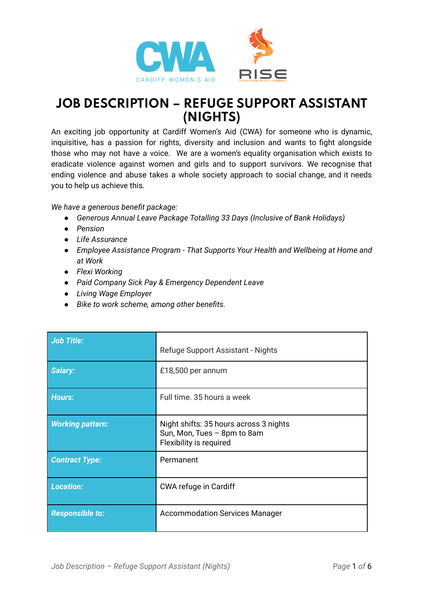

## **JOB DESCRIPTION – REFUGE SUPPORT ASSISTANT (NIGHTS)**

An exciting job opportunity at Cardiff Women's Aid (CWA) for someone who is dynamic, inquisitive, has a passion for rights, diversity and inclusion and wants to fight alongside those who may not have a voice. We are a women's equality organisation which exists to eradicate violence against women and girls and to support survivors. We recognise that ending violence and abuse takes a whole society approach to social change, and it needs you to help us achieve this.

*We have a generous benefit package:*

- *Generous Annual Leave Package Totalling 33 Days (Inclusive of Bank Holidays)*
- *Pension*
- *Life Assurance*
- *Employee Assistance Program - That Supports Your Health and Wellbeing at Home and at Work*
- *Flexi Working*
- *Paid Company Sick Pay & Emergency Dependent Leave*
- *Living Wage Employer*
- *Bike to work scheme, among other benefits.*

| <b>Job Title:</b>       | <b>Refuge Support Assistant - Nights</b>                                                         |
|-------------------------|--------------------------------------------------------------------------------------------------|
| Salary:                 | £18,500 per annum                                                                                |
| <b>Hours:</b>           | Full time, 35 hours a week                                                                       |
| <b>Working pattern:</b> | Night shifts: 35 hours across 3 nights<br>Sun, Mon, Tues - 8pm to 8am<br>Flexibility is required |
| <b>Contract Type:</b>   | Permanent                                                                                        |
| <b>Location:</b>        | CWA refuge in Cardiff                                                                            |
| <b>Responsible to:</b>  | <b>Accommodation Services Manager</b>                                                            |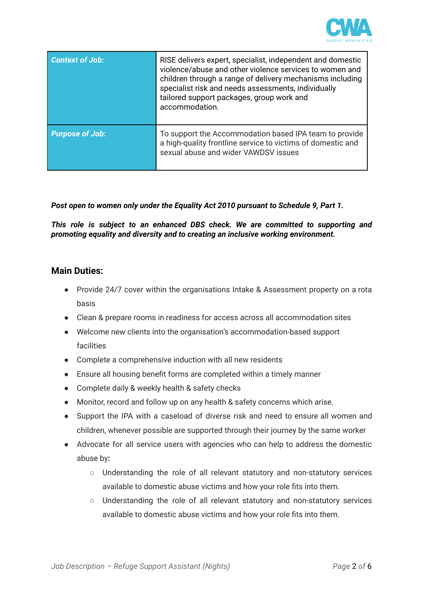

| <b>Context of Job:</b> | RISE delivers expert, specialist, independent and domestic<br>violence/abuse and other violence services to women and<br>children through a range of delivery mechanisms including<br>specialist risk and needs assessments, individually<br>tailored support packages, group work and<br>accommodation. |
|------------------------|----------------------------------------------------------------------------------------------------------------------------------------------------------------------------------------------------------------------------------------------------------------------------------------------------------|
| <b>Purpose of Job:</b> | To support the Accommodation based IPA team to provide<br>a high-quality frontline service to victims of domestic and<br>sexual abuse and wider VAWDSV issues                                                                                                                                            |

*Post open to women only under the Equality Act 2010 pursuant to Schedule 9, Part 1.*

*This role is subject to an enhanced DBS check. We are committed to supporting and promoting equality and diversity and to creating an inclusive working environment.*

## **Main Duties:**

- Provide 24/7 cover within the organisations Intake & Assessment property on a rota basis
- Clean & prepare rooms in readiness for access across all accommodation sites
- Welcome new clients into the organisation's accommodation-based support facilities
- Complete a comprehensive induction with all new residents
- Ensure all housing benefit forms are completed within a timely manner
- Complete daily & weekly health & safety checks
- Monitor, record and follow up on any health & safety concerns which arise.
- Support the IPA with a caseload of diverse risk and need to ensure all women and children, whenever possible are supported through their journey by the same worker
- **●** Advocate for all service users with agencies who can help to address the domestic abuse by**:**
	- **○** Understanding the role of all relevant statutory and non-statutory services available to domestic abuse victims and how your role fits into them.
	- **○** Understanding the role of all relevant statutory and non-statutory services available to domestic abuse victims and how your role fits into them.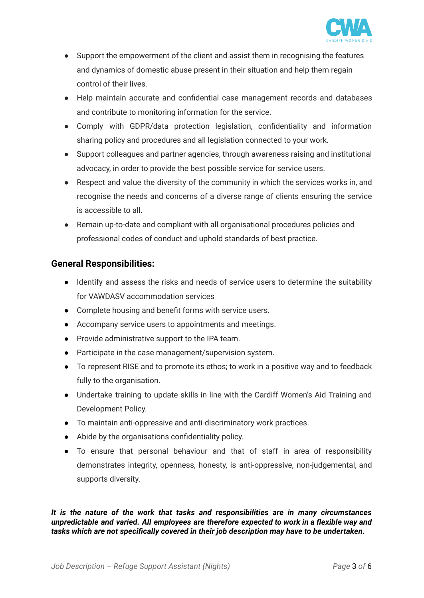

- **●** Support the empowerment of the client and assist them in recognising the features and dynamics of domestic abuse present in their situation and help them regain control of their lives.
- *●* Help maintain accurate and confidential case management records and databases and contribute to monitoring information for the service.
- *●* Comply with GDPR/data protection legislation, confidentiality and information sharing policy and procedures and all legislation connected to your work.
- *●* Support colleagues and partner agencies, through awareness raising and institutional advocacy, in order to provide the best possible service for service users.
- *●* Respect and value the diversity of the community in which the services works in, and recognise the needs and concerns of a diverse range of clients ensuring the service is accessible to all.
- *●* Remain up-to-date and compliant with all organisational procedures policies and professional codes of conduct and uphold standards of best practice.

## **General Responsibilities:**

- Identify and assess the risks and needs of service users to determine the suitability for VAWDASV accommodation services
- Complete housing and benefit forms with service users.
- Accompany service users to appointments and meetings.
- Provide administrative support to the IPA team.
- Participate in the case management/supervision system.
- To represent RISE and to promote its ethos; to work in a positive way and to feedback fully to the organisation.
- Undertake training to update skills in line with the Cardiff Women's Aid Training and Development Policy.
- To maintain anti-oppressive and anti-discriminatory work practices.
- Abide by the organisations confidentiality policy.
- To ensure that personal behaviour and that of staff in area of responsibility demonstrates integrity, openness, honesty, is anti-oppressive, non-judgemental, and supports diversity.

*It is the nature of the work that tasks and responsibilities are in many circumstances unpredictable and varied. All employees are therefore expected to work in a flexible way and tasks which are not specifically covered in their job description may have to be undertaken.*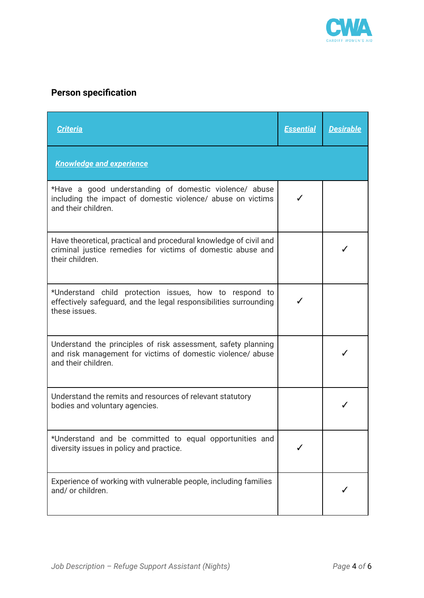

## **Person specification**

| <b>Criteria</b>                                                                                                                                     | <b>Essential</b> | <b>Desirable</b> |
|-----------------------------------------------------------------------------------------------------------------------------------------------------|------------------|------------------|
| <b>Knowledge and experience</b>                                                                                                                     |                  |                  |
| *Have a good understanding of domestic violence/ abuse<br>including the impact of domestic violence/ abuse on victims<br>and their children.        |                  |                  |
| Have theoretical, practical and procedural knowledge of civil and<br>criminal justice remedies for victims of domestic abuse and<br>their children. |                  |                  |
| *Understand child protection issues, how to respond to<br>effectively safeguard, and the legal responsibilities surrounding<br>these issues.        |                  |                  |
| Understand the principles of risk assessment, safety planning<br>and risk management for victims of domestic violence/ abuse<br>and their children. |                  |                  |
| Understand the remits and resources of relevant statutory<br>bodies and voluntary agencies.                                                         |                  |                  |
| *Understand and be committed to equal opportunities and<br>diversity issues in policy and practice.                                                 |                  |                  |
| Experience of working with vulnerable people, including families<br>and/ or children.                                                               |                  |                  |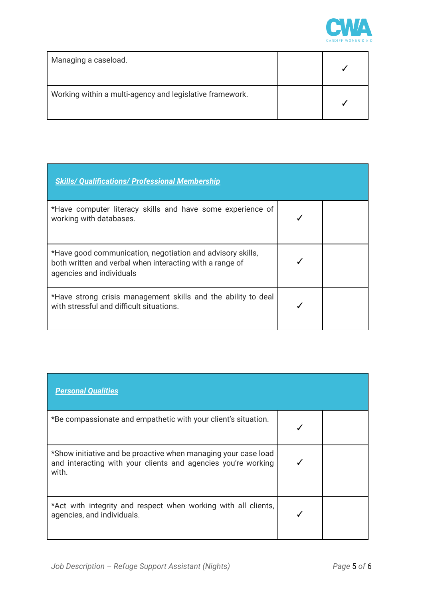

| Managing a caseload.                                     |  |
|----------------------------------------------------------|--|
| Working within a multi-agency and legislative framework. |  |

| <b>Skills/ Qualifications/ Professional Membership</b>                                                                                             |  |
|----------------------------------------------------------------------------------------------------------------------------------------------------|--|
| *Have computer literacy skills and have some experience of<br>working with databases.                                                              |  |
| *Have good communication, negotiation and advisory skills,<br>both written and verbal when interacting with a range of<br>agencies and individuals |  |
| *Have strong crisis management skills and the ability to deal<br>with stressful and difficult situations.                                          |  |

| <b>Personal Qualities</b>                                                                                                                |  |
|------------------------------------------------------------------------------------------------------------------------------------------|--|
| *Be compassionate and empathetic with your client's situation.                                                                           |  |
| *Show initiative and be proactive when managing your case load<br>and interacting with your clients and agencies you're working<br>with. |  |
| *Act with integrity and respect when working with all clients,<br>agencies, and individuals.                                             |  |